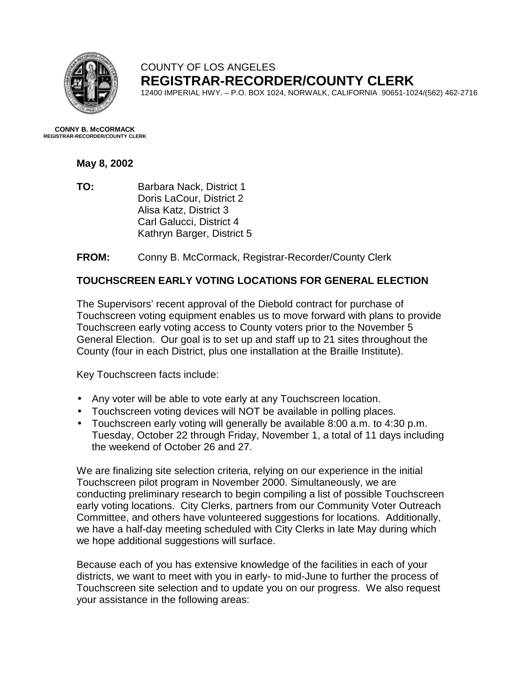

## COUNTY OF LOS ANGELES **REGISTRAR-RECORDER/COUNTY CLERK**

12400 IMPERIAL HWY. – P.O. BOX 1024, NORWALK, CALIFORNIA 90651-1024/(562) 462-2716

**CONNY B. McCORMACK REGISTRAR-RECORDER/COUNTY CLERK** 

## **May 8, 2002**

**TO:** Barbara Nack, District 1 Doris LaCour, District 2 Alisa Katz, District 3 Carl Galucci, District 4 Kathryn Barger, District 5

**FROM:** Conny B. McCormack, Registrar-Recorder/County Clerk

## **TOUCHSCREEN EARLY VOTING LOCATIONS FOR GENERAL ELECTION**

The Supervisors' recent approval of the Diebold contract for purchase of Touchscreen voting equipment enables us to move forward with plans to provide Touchscreen early voting access to County voters prior to the November 5 General Election. Our goal is to set up and staff up to 21 sites throughout the County (four in each District, plus one installation at the Braille Institute).

Key Touchscreen facts include:

- Any voter will be able to vote early at any Touchscreen location.
- Touchscreen voting devices will NOT be available in polling places.
- Touchscreen early voting will generally be available 8:00 a.m. to 4:30 p.m. Tuesday, October 22 through Friday, November 1, a total of 11 days including the weekend of October 26 and 27.

We are finalizing site selection criteria, relying on our experience in the initial Touchscreen pilot program in November 2000. Simultaneously, we are conducting preliminary research to begin compiling a list of possible Touchscreen early voting locations. City Clerks, partners from our Community Voter Outreach Committee, and others have volunteered suggestions for locations. Additionally, we have a half-day meeting scheduled with City Clerks in late May during which we hope additional suggestions will surface.

Because each of you has extensive knowledge of the facilities in each of your districts, we want to meet with you in early- to mid-June to further the process of Touchscreen site selection and to update you on our progress. We also request your assistance in the following areas: